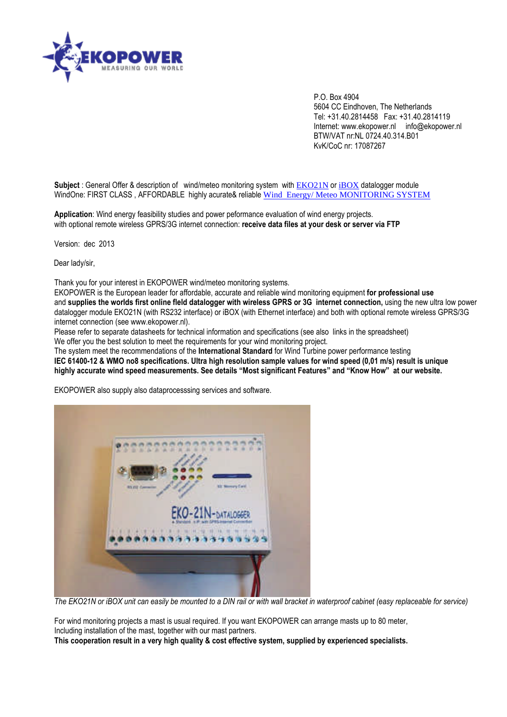

P.O. Box 4904 5604 CC Eindhoven, The Netherlands Tel: +31.40.2814458 Fax: +31.40.2814119 Internet: www.ekopower.nl info@ekopower.nl BTW/VAT nr:NL 0724.40.314.B01 KvK/CoC nr: 17087267

**Subject**: General Offer & description of wind/meteo monitoring system with [EKO21N](http://www.ekopower.nl/EKO21N-ip-wind-datalogger-server-data-logger-telemetry-online-monitoring-network-internet.htm) or [iBOX](http://www.ekopower.nl/iBOX-ip-datalogger-data-logger-telemetry-online-monitoring-network-webserver-internet-ethernet.htm) datalogger module WindOne: FIRST CLASS, AFFORDABLE highly acurate& reliable Wind Energy/Meteo MONITORING SYSTEM

**Application**: Wind energy feasibility studies and power peformance evaluation of wind energy projects. with optional remote wireless GPRS/3G internet connection: **receive data files at your desk or server via FTP**

Version: dec 2013

Dear lady/sir,

Thank you for your interest in EKOPOWER wind/meteo monitoring systems.

EKOPOWER is the European leader for affordable, accurate and reliable wind monitoring equipment **for professional use** and **supplies the worlds first online fleld datalogger with wireless GPRS or 3G internet connection,** using the new ultra low power datalogger module EKO21N (with RS232 interface) or iBOX (with Ethernet interface) and both with optional remote wireless GPRS/3G internet connection (see www.ekopower.nl).

Please refer to separate datasheets for technical information and specifications (see also links in the spreadsheet) We offer you the best solution to meet the requirements for your wind monitoring project.

The system meet the recommendations of the **International Standard** for Wind Turbine power performance testing **IEC 61400-12 & WMO no8 specifications. Ultra high resolution sample values for wind speed (0,01 m/s) result is unique highly accurate wind speed measurements. See details "Most significant Features" and "Know How" at our website.**

EKOPOWER also supply also dataprocesssing services and software.



*The EKO21N or iBOX unit can easily be mounted to a DIN rail or with wall bracket in waterproof cabinet (easy replaceable for service)*

For wind monitoring projects a mast is usual required. If you want EKOPOWER can arrange masts up to 80 meter, Including installation of the mast, together with our mast partners. **This cooperation result in a very high quality & cost effective system, supplied by experienced specialists.**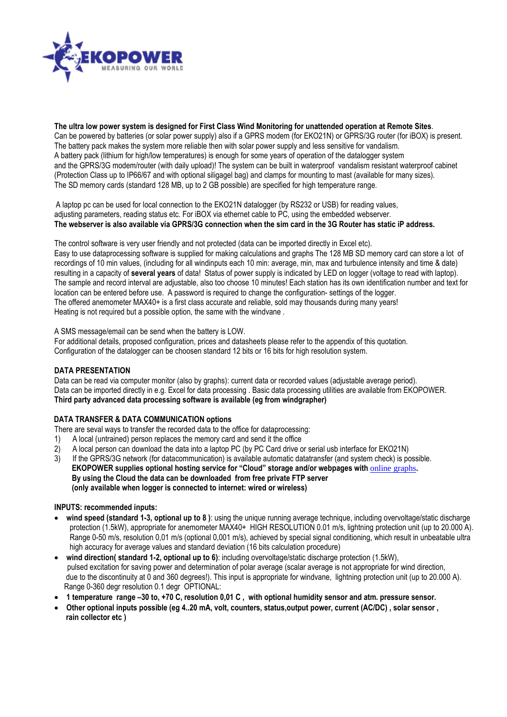

**The ultra low power system is designed for First Class Wind Monitoring for unattended operation at Remote Sites**. Can be powered by batteries (or solar power supply) also if a GPRS modem (for EKO21N) or GPRS/3G router (for iBOX) is present. The battery pack makes the system more reliable then with solar power supply and less sensitive for vandalism. A battery pack (lithium for high/low temperatures) is enough for some years of operation of the datalogger system and the GPRS/3G modem/router (with daily upload)! The system can be built in waterproof vandalism resistant waterproof cabinet (Protection Class up to IP66/67 and with optional siligagel bag) and clamps for mounting to mast (available for many sizes). The SD memory cards (standard 128 MB, up to 2 GB possible) are specified for high temperature range.

A laptop pc can be used for local connection to the EKO21N datalogger (by RS232 or USB) for reading values, adjusting parameters, reading status etc. For iBOX via ethernet cable to PC, using the embedded webserver. **The webserver is also available via GPRS/3G connection when the sim card in the 3G Router has static iP address.**

The control software is very user friendly and not protected (data can be imported directly in Excel etc).

Easy to use dataprocessing software is supplied for making calculations and graphs The 128 MB SD memory card can store a lot of recordings of 10 min values, (including for all windinputs each 10 min: average, min, max and turbulence intensity and time & date) resulting in a capacity of **several years** of data! Status of power supply is indicated by LED on logger (voltage to read with laptop). The sample and record interval are adjustable, also too choose 10 minutes! Each station has its own identification number and text for location can be entered before use. A password is required to change the configuration- settings of the logger. The offered anemometer MAX40+ is a first class accurate and reliable, sold may thousands during many years! Heating is not required but a possible option, the same with the windvane .

A SMS message/email can be send when the battery is LOW.

For additional details, proposed configuration, prices and datasheets please refer to the appendix of this quotation. Configuration of the datalogger can be choosen standard 12 bits or 16 bits for high resolution system.

# **DATA PRESENTATION**

Data can be read via computer monitor (also by graphs): current data or recorded values (adjustable average period). Data can be imported directly in e.g. Excel for data processing . Basic data processing utilities are available from EKOPOWER. **Third party advanced data processing software is available (eg from windgrapher)**

# **DATA TRANSFER & DATA COMMUNICATION options**

- There are seval ways to transfer the recorded data to the office for dataprocessing:
- 1) A local (untrained) person replaces the memory card and send it the office
- 2) A local person can download the data into a laptop PC (by PC Card drive or serial usb interface for EKO21N)
- 3) If the GPRS/3G network (for datacommunication) is available automatic datatransfer (and system check) is possible. **EKOPOWER supplies optional hosting service for "Cloud" storage and/or webpages with** [online graphs](http://www.webgraphs.info/graphs/i186ekodemo)**. By using the Cloud the data can be downloaded from free private FTP server (only available when logger is connected to internet: wired or wireless)**

#### **INPUTS: recommended inputs:**

- **wind speed (standard 1-3, optional up to 8 )**: using the unique running average technique, including overvoltage/static discharge protection (1.5kW), appropriate for anemometer MAX40+ HIGH RESOLUTION 0.01 m/s, lightning protection unit (up to 20.000 A). Range 0-50 m/s, resolution 0,01 m/s (optional 0,001 m/s), achieved by special signal conditioning, which result in unbeatable ultra high accuracy for average values and standard deviation (16 bits calculation procedure)
- **wind direction( standard 1-2, optional up to 6)**: including overvoltage/static discharge protection (1.5kW), pulsed excitation for saving power and determination of polar average (scalar average is not appropriate for wind direction, due to the discontinuity at 0 and 360 degrees!). This input is appropriate for windvane, lightning protection unit (up to 20.000 A). Range 0-360 degr resolution 0.1 degr OPTIONAL:
- **1 temperature range –30 to, +70 C, resolution 0,01 C , with optional humidity sensor and atm. pressure sensor.**
- **Other optional inputs possible (eg 4..20 mA, volt, counters, status,output power, current (AC/DC) , solar sensor , rain collector etc )**